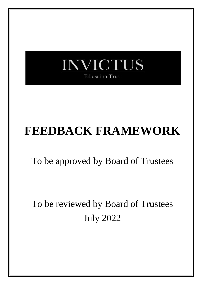

# **FEEDBACK FRAMEWORK**

To be approved by Board of Trustees

To be reviewed by Board of Trustees July 2022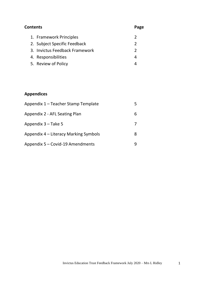### **Contents Page** 1. [Framework](#page-2-0) Principles 2 2. Subject Specific [Feedback](#page-2-1) 2 3. Invictus [Feedback Framework](#page-2-2) 2 4. [Responsibilities](#page-4-0) 4 5. Review [of Policy](#page-4-1) 4

#### **Appendices**

| Appendix 1 – Teacher Stamp Template   |  |
|---------------------------------------|--|
| Appendix 2 - AFL Seating Plan         |  |
| Appendix 3 – Take 5                   |  |
| Appendix 4 – Literacy Marking Symbols |  |
| Appendix 5 – Covid-19 Amendments      |  |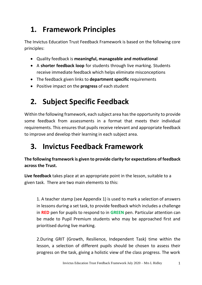# <span id="page-2-0"></span>**1. Framework Principles**

The Invictus Education Trust Feedback Framework is based on the following core principles:

- Quality feedback is **meaningful, manageable and motivational**
- A **shorter feedback loop** for students through live marking. Students receive immediate feedback which helps eliminate misconceptions
- The feedback given links to **department specific** requirements
- Positive impact on the **progress** of each student

# <span id="page-2-1"></span>**2. Subject Specific Feedback**

Within the following framework, each subject area hasthe opportunity to provide some feedback from assessments in a format that meets their individual requirements. This ensures that pupils receive relevant and appropriate feedback to improve and develop their learning in each subject area.

# <span id="page-2-2"></span>**3. Invictus Feedback Framework**

#### **The following framework is given to provide clarity for expectations of feedback across the Trust.**

**Live feedback** takes place at an appropriate point in the lesson, suitable to a given task. There are two main elements to this:

1. A teacher stamp (see Appendix 1) is used to mark a selection of answers in lessons during a set task, to provide feedback which includes a challenge in **RED** pen for pupils to respond to in **GREEN** pen. Particular attention can be made to Pupil Premium students who may be approached first and prioritised during live marking.

2.During GRIT (Growth, Resilience, Independent Task) time within the lesson, a selection of different pupils should be chosen to assess their progress on the task, giving a holistic view of the class progress. The work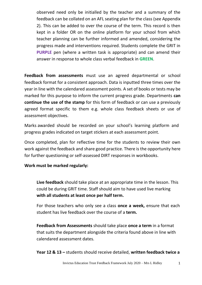observed need only be initialled by the teacher and a summary of the feedback can be collated on an AFL seating plan for the class (see Appendix 2). This can be added to over the course of the term. This record is then kept in a folder OR on the online platform for your school from which teacher planning can be further informed and amended, considering the progress made and interventions required. Students complete the GRIT in **PURPLE** pen (where a written task is appropriate) and can amend their answer in response to whole class verbal feedback in **GREEN**.

**Feedback from assessments** must use an agreed departmental or school feedback format for a consistent approach. Data is inputted three times over the year in line with the calendared assessment points. A set of books or tests may be marked for this purpose to inform the current progress grade. Departments **can continue the use of the stamp** for this form of feedback or can use a previously agreed format specific to them e.g. whole class feedback sheets or use of assessment objectives.

Marks awarded should be recorded on your school's learning platform and progress grades indicated on target stickers at each assessment point.

Once completed, plan for reflective time for the students to review their own work against the feedback and share good practice. There is the opportunity here for further questioning or self-assessed DIRT responses in workbooks.

#### **Work must be marked regularly:**

**Live feedback** should take place at an appropriate time in the lesson. This could be during GRIT time. Staff should aim to have used live marking **with all students at least once per half term.**

For those teachers who only see a class **once a week,** ensure that each student has live feedback over the course of a **term.**

**Feedback from Assessments** should take place **once a term** in a format that suits the department alongside the criteria found above in line with calendared assessment dates.

**Year 12 & 13 –** students should receive detailed, **written feedback twice a**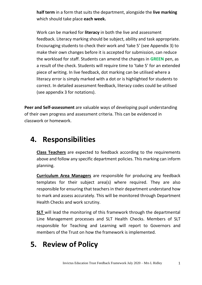**half term** in a form that suits the department, alongside the **live marking** which should take place **each week.**

Work can be marked for **literacy** in both the live and assessment feedback. Literacy marking should be subject, ability and task appropriate. Encouraging students to check their work and 'take 5' (see Appendix 3) to make their own changes before it is accepted for submission, can reduce the workload for staff. Students can amend the changes in **GREEN** pen, as a result of the check. Students will require time to 'take 5' for an extended piece of writing. In live feedback, dot marking can be utilised where a literacy error is simply marked with a dot or is highlighted for students to correct. In detailed assessment feedback, literacy codes could be utilised (see appendix 3 for notations).

**Peer and Self-assessment** are valuable ways of developing pupil understanding of their own progress and assessment criteria. This can be evidenced in classwork or homework.

### <span id="page-4-0"></span>**4. Responsibilities**

**Class Teachers** are expected to feedback according to the requirements above and follow any specific department policies. This marking can inform planning.

**Curriculum Area Managers** are responsible for producing any feedback templates for their subject area(s) where required. They are also responsible for ensuring that teachers in their department understand how to mark and assess accurately. This will be monitored through Department Health Checks and work scrutiny.

**SLT** will lead the monitoring of this framework through the departmental Line Management processes and SLT Health Checks. Members of SLT responsible for Teaching and Learning will report to Governors and members of the Trust on how the framework is implemented.

## <span id="page-4-1"></span>**5. Review of Policy**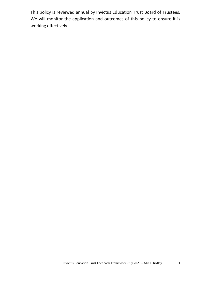This policy is reviewed annual by Invictus Education Trust Board of Trustees. We will monitor the application and outcomes of this policy to ensure it is working effectively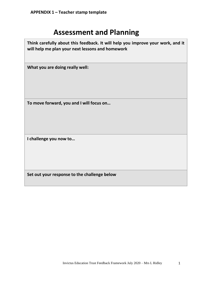### **Assessment and Planning**

**Think carefully about this feedback. It will help you improve your work, and it will help me plan your next lessons and homework What you are doing really well: To move forward, you and I will focus on… I challenge you now to… Set out your response to the challenge below**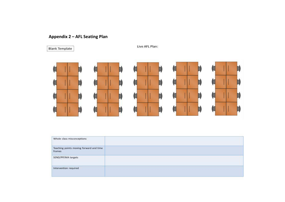### **Appendix 2 – AFL Seating Plan**

**Blank Template** 

Live AFL Plan:



| Whole class misconceptions                        |  |
|---------------------------------------------------|--|
| Teaching points moving forward and time<br>frames |  |
| SEND/PP/MA targets                                |  |
| Intervention required                             |  |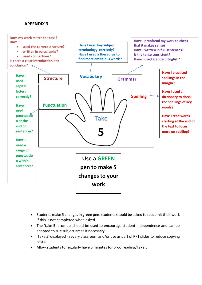#### **APPENDIX 3**



- Students make 5 changes in green pen, students should be asked to resubmit their work if this is not completed when asked.
- The 'take 5' prompts should be used to encourage student independence and can be adapted to suit subject areas if necessary.
- 'Take 5' displayed in every classroom and/or use as part of PPT slides to reduce copying costs.
- Allow students to regularly have 5 minutes for proofreading/Take 5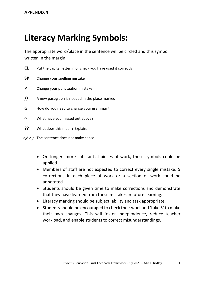# **Literacy Marking Symbols:**

The appropriate word/place in the sentence will be circled and this symbol written in the margin:

- **CL** Put the capital letter in or check you have used it correctly
- **SP** Change your spelling mistake
- **P** Change your punctuation mistake
- **//** A new paragraph is needed in the place marked
- **G** How do you need to change your grammar?
- **^** What have you missed out above?
- **??** What does this mean? Explain.
- $M/\sqrt{1}$  The sentence does not make sense.
	- On longer, more substantial pieces of work, these symbols could be applied.
	- Members of staff are not expected to correct every single mistake. 5 corrections in each piece of work or a section of work could be annotated.
	- Students should be given time to make corrections and demonstrate that they have learned from these mistakes in future learning.
	- Literacy marking should be subject, ability and task appropriate.
	- Students should be encouraged to check their work and 'take 5' to make their own changes. This will foster independence, reduce teacher workload, and enable students to correct misunderstandings.